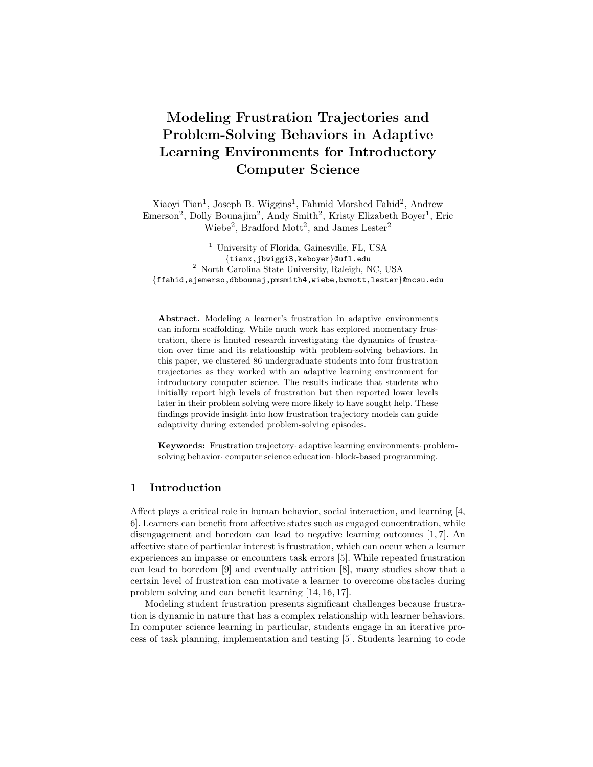# Modeling Frustration Trajectories and Problem-Solving Behaviors in Adaptive Learning Environments for Introductory Computer Science

Xiaoyi Tian<sup>1</sup>, Joseph B. Wiggins<sup>1</sup>, Fahmid Morshed Fahid<sup>2</sup>, Andrew Emerson<sup>2</sup>, Dolly Bounajim<sup>2</sup>, Andy Smith<sup>2</sup>, Kristy Elizabeth Boyer<sup>1</sup>, Eric Wiebe<sup>2</sup>, Bradford Mott<sup>2</sup>, and James Lester<sup>2</sup>

<sup>1</sup> University of Florida, Gainesville, FL, USA {tianx,jbwiggi3,keboyer}@ufl.edu <sup>2</sup> North Carolina State University, Raleigh, NC, USA {ffahid,ajemerso,dbbounaj,pmsmith4,wiebe,bwmott,lester}@ncsu.edu

Abstract. Modeling a learner's frustration in adaptive environments can inform scaffolding. While much work has explored momentary frustration, there is limited research investigating the dynamics of frustration over time and its relationship with problem-solving behaviors. In this paper, we clustered 86 undergraduate students into four frustration trajectories as they worked with an adaptive learning environment for introductory computer science. The results indicate that students who initially report high levels of frustration but then reported lower levels later in their problem solving were more likely to have sought help. These findings provide insight into how frustration trajectory models can guide adaptivity during extended problem-solving episodes.

Keywords: Frustration trajectory· adaptive learning environments· problemsolving behavior· computer science education· block-based programming.

### 1 Introduction

Affect plays a critical role in human behavior, social interaction, and learning [4, 6]. Learners can benefit from affective states such as engaged concentration, while disengagement and boredom can lead to negative learning outcomes [1, 7]. An affective state of particular interest is frustration, which can occur when a learner experiences an impasse or encounters task errors [5]. While repeated frustration can lead to boredom [9] and eventually attrition [8], many studies show that a certain level of frustration can motivate a learner to overcome obstacles during problem solving and can benefit learning [14, 16, 17].

Modeling student frustration presents significant challenges because frustration is dynamic in nature that has a complex relationship with learner behaviors. In computer science learning in particular, students engage in an iterative process of task planning, implementation and testing [5]. Students learning to code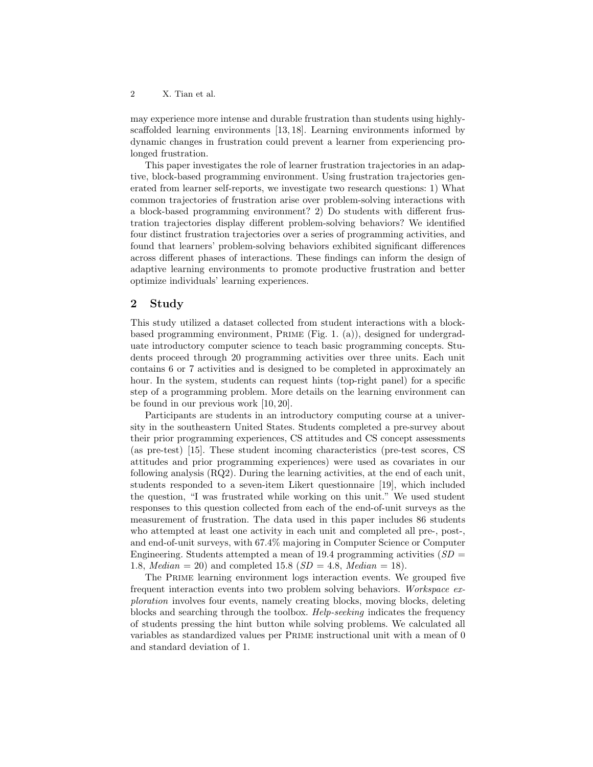may experience more intense and durable frustration than students using highlyscaffolded learning environments [13, 18]. Learning environments informed by dynamic changes in frustration could prevent a learner from experiencing prolonged frustration.

This paper investigates the role of learner frustration trajectories in an adaptive, block-based programming environment. Using frustration trajectories generated from learner self-reports, we investigate two research questions: 1) What common trajectories of frustration arise over problem-solving interactions with a block-based programming environment? 2) Do students with different frustration trajectories display different problem-solving behaviors? We identified four distinct frustration trajectories over a series of programming activities, and found that learners' problem-solving behaviors exhibited significant differences across different phases of interactions. These findings can inform the design of adaptive learning environments to promote productive frustration and better optimize individuals' learning experiences.

### 2 Study

This study utilized a dataset collected from student interactions with a blockbased programming environment, Prime (Fig. 1. (a)), designed for undergraduate introductory computer science to teach basic programming concepts. Students proceed through 20 programming activities over three units. Each unit contains 6 or 7 activities and is designed to be completed in approximately an hour. In the system, students can request hints (top-right panel) for a specific step of a programming problem. More details on the learning environment can be found in our previous work [10, 20].

Participants are students in an introductory computing course at a university in the southeastern United States. Students completed a pre-survey about their prior programming experiences, CS attitudes and CS concept assessments (as pre-test) [15]. These student incoming characteristics (pre-test scores, CS attitudes and prior programming experiences) were used as covariates in our following analysis (RQ2). During the learning activities, at the end of each unit, students responded to a seven-item Likert questionnaire [19], which included the question, "I was frustrated while working on this unit." We used student responses to this question collected from each of the end-of-unit surveys as the measurement of frustration. The data used in this paper includes 86 students who attempted at least one activity in each unit and completed all pre-, post-, and end-of-unit surveys, with 67.4% majoring in Computer Science or Computer Engineering. Students attempted a mean of 19.4 programming activities ( $SD =$ 1.8, *Median* = 20) and completed 15.8 ( $SD = 4.8$ , *Median* = 18).

The Prime learning environment logs interaction events. We grouped five frequent interaction events into two problem solving behaviors. Workspace exploration involves four events, namely creating blocks, moving blocks, deleting blocks and searching through the toolbox. Help-seeking indicates the frequency of students pressing the hint button while solving problems. We calculated all variables as standardized values per Prime instructional unit with a mean of 0 and standard deviation of 1.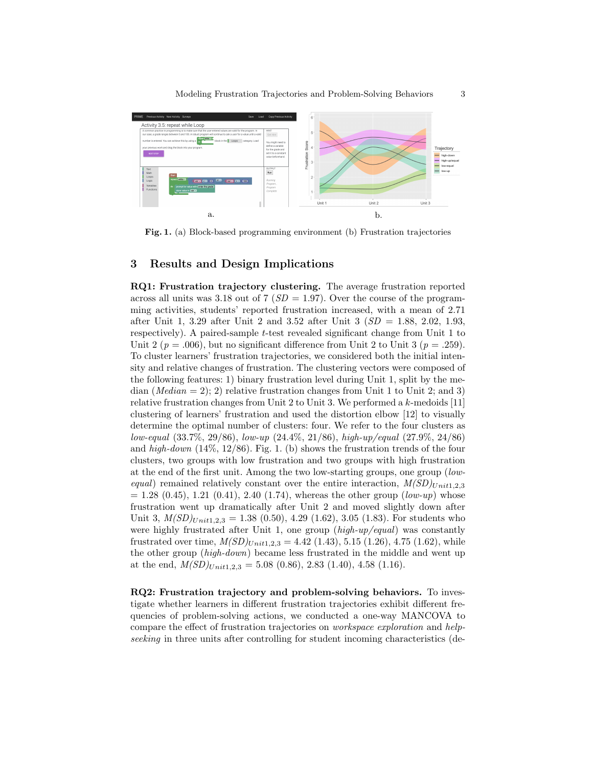

Fig. 1. (a) Block-based programming environment (b) Frustration trajectories

## 3 Results and Design Implications

RQ1: Frustration trajectory clustering. The average frustration reported across all units was 3.18 out of 7  $(SD = 1.97)$ . Over the course of the programming activities, students' reported frustration increased, with a mean of 2.71 after Unit 1, 3.29 after Unit 2 and 3.52 after Unit 3  $(SD = 1.88, 2.02, 1.93,$ respectively). A paired-sample *t*-test revealed significant change from Unit 1 to Unit 2 ( $p = .006$ ), but no significant difference from Unit 2 to Unit 3 ( $p = .259$ ). To cluster learners' frustration trajectories, we considered both the initial intensity and relative changes of frustration. The clustering vectors were composed of the following features: 1) binary frustration level during Unit 1, split by the median  $(Median = 2)$ ; 2) relative frustration changes from Unit 1 to Unit 2; and 3) relative frustration changes from Unit 2 to Unit 3. We performed a  $k$ -medoids [11] clustering of learners' frustration and used the distortion elbow [12] to visually determine the optimal number of clusters: four. We refer to the four clusters as low-equal (33.7%, 29/86), low-up (24.4%, 21/86), high-up/equal (27.9%, 24/86) and high-down  $(14\%, 12/86)$ . Fig. 1. (b) shows the frustration trends of the four clusters, two groups with low frustration and two groups with high frustration at the end of the first unit. Among the two low-starting groups, one group (lowequal) remained relatively constant over the entire interaction,  $M(SD)_{Unit1,2,3}$  $= 1.28 (0.45), 1.21 (0.41), 2.40 (1.74),$  whereas the other group (low-up) whose frustration went up dramatically after Unit 2 and moved slightly down after Unit 3,  $M(SD)_{Unit1,2,3} = 1.38 (0.50), 4.29 (1.62), 3.05 (1.83)$ . For students who were highly frustrated after Unit 1, one group  $(high-up/equal)$  was constantly frustrated over time,  $M(SD)_{Unit1,2,3} = 4.42$  (1.43), 5.15 (1.26), 4.75 (1.62), while the other group (high-down) became less frustrated in the middle and went up at the end,  $M(SD)_{Unit1,2,3} = 5.08 (0.86), 2.83 (1.40), 4.58 (1.16).$ 

RQ2: Frustration trajectory and problem-solving behaviors. To investigate whether learners in different frustration trajectories exhibit different frequencies of problem-solving actions, we conducted a one-way MANCOVA to compare the effect of frustration trajectories on workspace exploration and helpseeking in three units after controlling for student incoming characteristics (de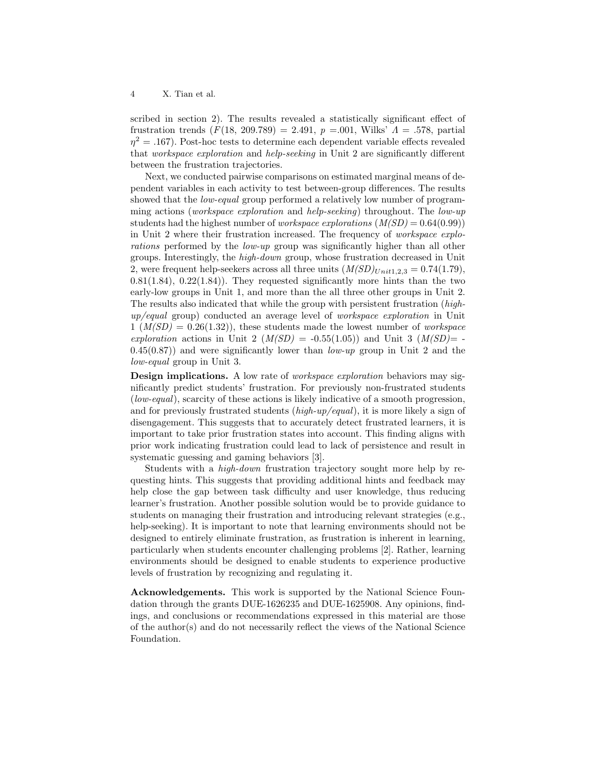scribed in section 2). The results revealed a statistically significant effect of frustration trends  $(F(18, 209.789) = 2.491, p = .001$ , Wilks'  $\Lambda = .578$ , partial  $\eta^2 = .167$ ). Post-hoc tests to determine each dependent variable effects revealed that workspace exploration and help-seeking in Unit 2 are significantly different between the frustration trajectories.

Next, we conducted pairwise comparisons on estimated marginal means of dependent variables in each activity to test between-group differences. The results showed that the *low-equal* group performed a relatively low number of programming actions (workspace exploration and help-seeking) throughout. The low-up students had the highest number of *workspace explorations*  $(M(SD) = 0.64(0.99))$ in Unit 2 where their frustration increased. The frequency of workspace explorations performed by the low-up group was significantly higher than all other groups. Interestingly, the high-down group, whose frustration decreased in Unit 2, were frequent help-seekers across all three units  $(M(SD)_{Unit1,2,3} = 0.74(1.79),$  $0.81(1.84)$ ,  $0.22(1.84)$ . They requested significantly more hints than the two early-low groups in Unit 1, and more than the all three other groups in Unit 2. The results also indicated that while the group with persistent frustration (highup/equal group) conducted an average level of workspace exploration in Unit  $1 \left(M(SD) = 0.26(1.32)\right)$ , these students made the lowest number of *workspace* exploration actions in Unit 2 ( $M(SD) = -0.55(1.05)$ ) and Unit 3 ( $M(SD) = -0.55(1.05)$ )  $(0.45(0.87))$  and were significantly lower than  $low-up$  group in Unit 2 and the low-equal group in Unit 3.

**Design implications.** A low rate of *workspace exploration* behaviors may significantly predict students' frustration. For previously non-frustrated students (low-equal), scarcity of these actions is likely indicative of a smooth progression, and for previously frustrated students  $(high-up/equal)$ , it is more likely a sign of disengagement. This suggests that to accurately detect frustrated learners, it is important to take prior frustration states into account. This finding aligns with prior work indicating frustration could lead to lack of persistence and result in systematic guessing and gaming behaviors [3].

Students with a high-down frustration trajectory sought more help by requesting hints. This suggests that providing additional hints and feedback may help close the gap between task difficulty and user knowledge, thus reducing learner's frustration. Another possible solution would be to provide guidance to students on managing their frustration and introducing relevant strategies (e.g., help-seeking). It is important to note that learning environments should not be designed to entirely eliminate frustration, as frustration is inherent in learning, particularly when students encounter challenging problems [2]. Rather, learning environments should be designed to enable students to experience productive levels of frustration by recognizing and regulating it.

Acknowledgements. This work is supported by the National Science Foundation through the grants DUE-1626235 and DUE-1625908. Any opinions, findings, and conclusions or recommendations expressed in this material are those of the author(s) and do not necessarily reflect the views of the National Science Foundation.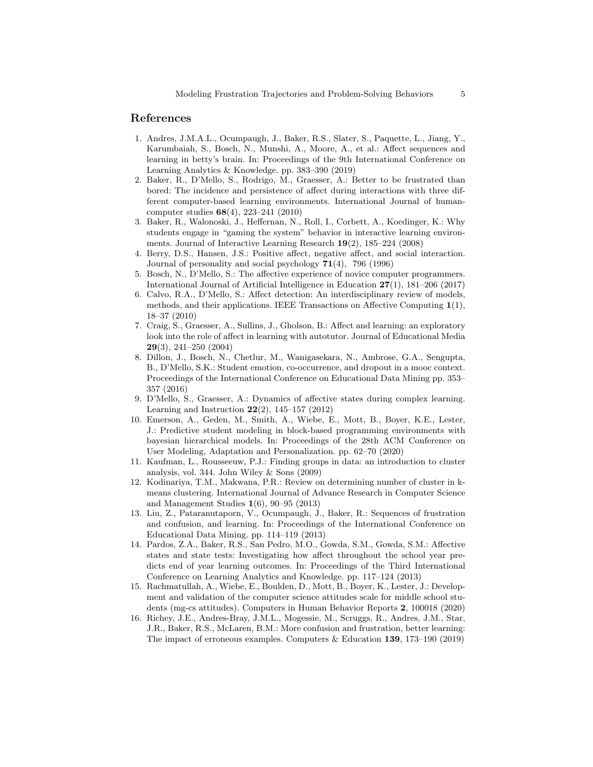#### References

- 1. Andres, J.M.A.L., Ocumpaugh, J., Baker, R.S., Slater, S., Paquette, L., Jiang, Y., Karumbaiah, S., Bosch, N., Munshi, A., Moore, A., et al.: Affect sequences and learning in betty's brain. In: Proceedings of the 9th International Conference on Learning Analytics & Knowledge. pp. 383–390 (2019)
- 2. Baker, R., D'Mello, S., Rodrigo, M., Graesser, A.: Better to be frustrated than bored: The incidence and persistence of affect during interactions with three different computer-based learning environments. International Journal of humancomputer studies 68(4), 223–241 (2010)
- 3. Baker, R., Walonoski, J., Heffernan, N., Roll, I., Corbett, A., Koedinger, K.: Why students engage in "gaming the system" behavior in interactive learning environments. Journal of Interactive Learning Research 19(2), 185–224 (2008)
- 4. Berry, D.S., Hansen, J.S.: Positive affect, negative affect, and social interaction. Journal of personality and social psychology  $71(4)$ , 796 (1996)
- 5. Bosch, N., D'Mello, S.: The affective experience of novice computer programmers. International Journal of Artificial Intelligence in Education 27(1), 181–206 (2017)
- 6. Calvo, R.A., D'Mello, S.: Affect detection: An interdisciplinary review of models, methods, and their applications. IEEE Transactions on Affective Computing 1(1), 18–37 (2010)
- 7. Craig, S., Graesser, A., Sullins, J., Gholson, B.: Affect and learning: an exploratory look into the role of affect in learning with autotutor. Journal of Educational Media 29(3), 241–250 (2004)
- 8. Dillon, J., Bosch, N., Chetlur, M., Wanigasekara, N., Ambrose, G.A., Sengupta, B., D'Mello, S.K.: Student emotion, co-occurrence, and dropout in a mooc context. Proceedings of the International Conference on Educational Data Mining pp. 353– 357 (2016)
- 9. D'Mello, S., Graesser, A.: Dynamics of affective states during complex learning. Learning and Instruction  $22(2)$ , 145–157 (2012)
- 10. Emerson, A., Geden, M., Smith, A., Wiebe, E., Mott, B., Boyer, K.E., Lester, J.: Predictive student modeling in block-based programming environments with bayesian hierarchical models. In: Proceedings of the 28th ACM Conference on User Modeling, Adaptation and Personalization. pp. 62–70 (2020)
- 11. Kaufman, L., Rousseeuw, P.J.: Finding groups in data: an introduction to cluster analysis, vol. 344. John Wiley & Sons (2009)
- 12. Kodinariya, T.M., Makwana, P.R.: Review on determining number of cluster in kmeans clustering. International Journal of Advance Research in Computer Science and Management Studies 1(6), 90–95 (2013)
- 13. Liu, Z., Pataranutaporn, V., Ocumpaugh, J., Baker, R.: Sequences of frustration and confusion, and learning. In: Proceedings of the International Conference on Educational Data Mining. pp. 114–119 (2013)
- 14. Pardos, Z.A., Baker, R.S., San Pedro, M.O., Gowda, S.M., Gowda, S.M.: Affective states and state tests: Investigating how affect throughout the school year predicts end of year learning outcomes. In: Proceedings of the Third International Conference on Learning Analytics and Knowledge. pp. 117–124 (2013)
- 15. Rachmatullah, A., Wiebe, E., Boulden, D., Mott, B., Boyer, K., Lester, J.: Development and validation of the computer science attitudes scale for middle school students (mg-cs attitudes). Computers in Human Behavior Reports 2, 100018 (2020)
- 16. Richey, J.E., Andres-Bray, J.M.L., Mogessie, M., Scruggs, R., Andres, J.M., Star, J.R., Baker, R.S., McLaren, B.M.: More confusion and frustration, better learning: The impact of erroneous examples. Computers & Education 139, 173–190 (2019)